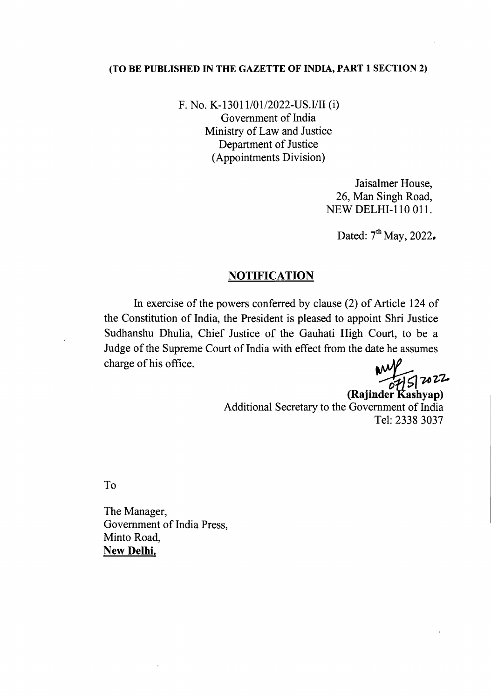## (TO BE PUBLISHED IN THE GAZETTE OF INDIA, PART 1 SECTION 2)

F. No. K-13011/01/2022-US.I/II (i) Government of India Ministry of Law and Justice Department of Justice (Appointments Division)

> Jaisalmer House, 26, Man Singh Road, NEW DELHI-110 OIl.

Dated:  $7<sup>th</sup>$  May, 2022.

## **NOTIFICATION**

In exercise of the powers conferred by clause (2) of Article 124 of the Constitution of India, the President is pleased to appoint Shri Justice Sudhanshu Dhulia, Chief Justice of the Gauhati High Court, to be a Judge of the Supreme Court of India with effect from the date he assumes  $charge$  of his office.

*~~z,-z.,*

(Rajinder Kashyap) Additional Secretary to the Government of India Tel: 2338 3037

To

The Manager, Government of India Press, Minto Road, New Delhi.